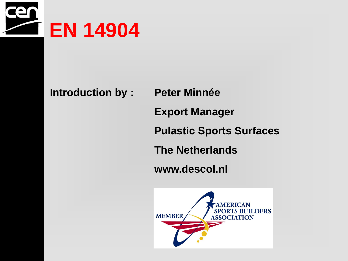

# **Introduction by : Peter Minnée**

**Export Manager** 

**Pulastic Sports Surfaces**

**The Netherlands**

**www.descol.nl** 

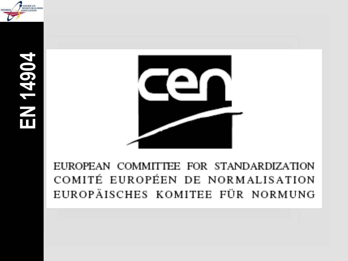



EUROPEAN COMMITTEE FOR STANDARDIZATION<br>COMITÉ EUROPÉEN DE NORMALISATION **EUROPÄISCHES KOMITEE FÜR NORMUNG**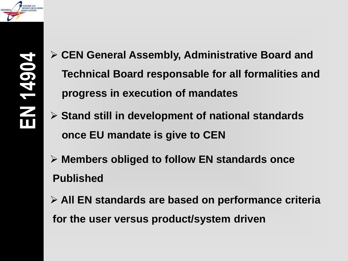

- **CEN General Assembly, Administrative Board and Technical Board responsable for all formalities and progress in execution of mandates**
- **Stand still in development of national standards once EU mandate is give to CEN**
- **Members obliged to follow EN standards once Published**
- **All EN standards are based on performance criteria**

**for the user versus product/system driven**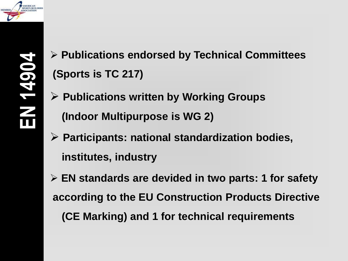

- **Publications endorsed by Technical Committees (Sports is TC 217)**
- **Publications written by Working Groups (Indoor Multipurpose is WG 2)**
- **Participants: national standardization bodies, institutes, industry**
- **EN standards are devided in two parts: 1 for safety according to the EU Construction Products Directive (CE Marking) and 1 for technical requirements**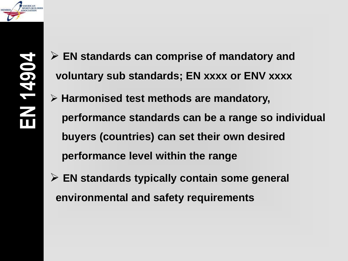

- **EN standards can comprise of mandatory and voluntary sub standards; EN xxxx or ENV xxxx**
- **Harmonised test methods are mandatory, performance standards can be a range so individual buyers (countries) can set their own desired performance level within the range**
- **EN standards typically contain some general environmental and safety requirements**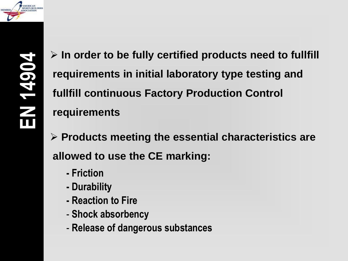

 **In order to be fully certified products need to fullfill requirements in initial laboratory type testing and fullfill continuous Factory Production Control requirements**

 **Products meeting the essential characteristics are allowed to use the CE marking:**

- **- Friction**
- **- Durability**
- **- Reaction to Fire**
- **Shock absorbency**
- **Release of dangerous substances**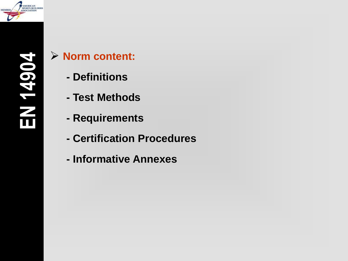

# **Norm content:**

- **- Definitions**
- **- Test Methods**
- **- Requirements**
- **- Certification Procedures**
- **- Informative Annexes**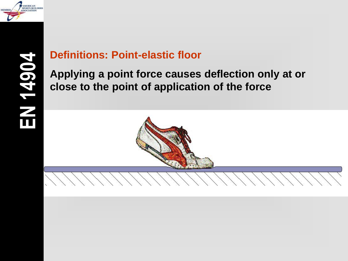

### **Definitions: Point-elastic floor**

**Applying a point force causes deflection only at or close to the point of application of the force**

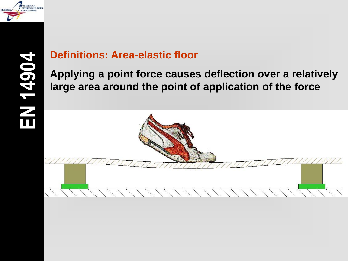

#### **Definitions: Area-elastic floor**

**Applying a point force causes deflection over a relatively large area around the point of application of the force**

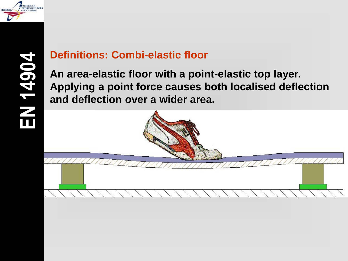

#### **Definitions: Combi-elastic floor**

**An area-elastic floor with a point-elastic top layer. Applying a point force causes both localised deflection and deflection over a wider area.**

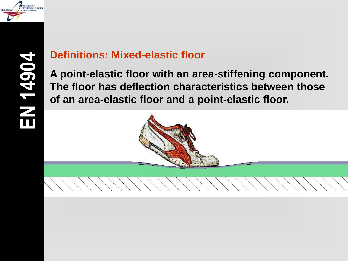

#### **Definitions: Mixed-elastic floor**

**A point-elastic floor with an area-stiffening component. The floor has deflection characteristics between those of an area-elastic floor and a point-elastic floor.**

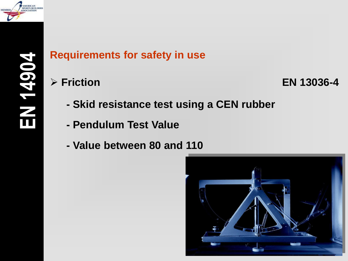

#### **Friction EN 13036-4**

- **- Skid resistance test using a CEN rubber**
- **- Pendulum Test Value**
- **- Value between 80 and 110**

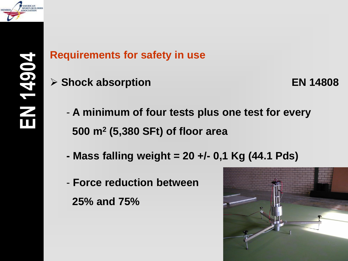

**Shock absorption EN 14808**

- **A minimum of four tests plus one test for every 500 m<sup>2</sup> (5,380 SFt) of floor area**
- **- Mass falling weight = 20 +/- 0,1 Kg (44.1 Pds)**
- **Force reduction between 25% and 75%**

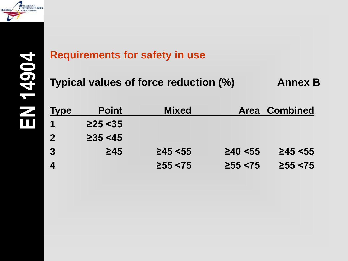

**Typical values of force reduction (%) Annex B** 

| <b>Type</b>      | <b>Point</b>   | <b>Mixed</b>   |                | <b>Area Combined</b> |
|------------------|----------------|----------------|----------------|----------------------|
|                  | $\geq$ 25 < 35 |                |                |                      |
| $\overline{2}$   | $\geq$ 35 <45  |                |                |                      |
| 3                | $\geq 45$      | $\geq$ 45 < 55 | $\geq 40 < 55$ | $\geq$ 45 < 55       |
| $\boldsymbol{A}$ |                | $\geq 55 < 75$ | $\geq 55 < 75$ | $\geq 55 < 75$       |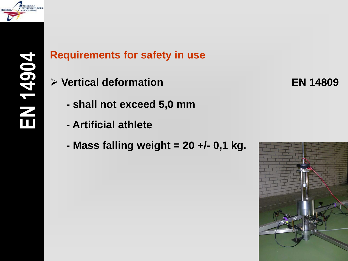

- **Vertical deformation EN 14809**
	- **- shall not exceed 5,0 mm**
	- **- Artificial athlete**
	- **- Mass falling weight = 20 +/ - 0,1 kg.**

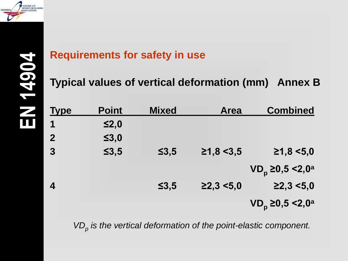

**Typical values of vertical deformation (mm) Annex B**

| <u>Type</u>    | <b>Point</b> | <b>Mixed</b> | <b>Area</b>           | <b>Combined</b>                        |
|----------------|--------------|--------------|-----------------------|----------------------------------------|
| 1              | $\leq 2,0$   |              |                       |                                        |
| $\overline{2}$ | $\leq 3,0$   |              |                       |                                        |
| $\overline{3}$ | $\leq 3, 5$  | $\leq 3, 5$  | $\geq 1, 8 \leq 3, 5$ | ≥1,8 < 5,0                             |
|                |              |              |                       | VD <sub>p</sub> ≥0,5 <2,0 <sup>a</sup> |
| 4              |              | $\leq 3, 5$  | $\geq$ 2,3 <5,0       | $\geq$ 2,3 <5,0                        |
|                |              |              |                       | VD <sub>p</sub> ≥0,5 <2,0 <sup>a</sup> |

*VD<sup>p</sup> is the vertical deformation of the point-elastic component.*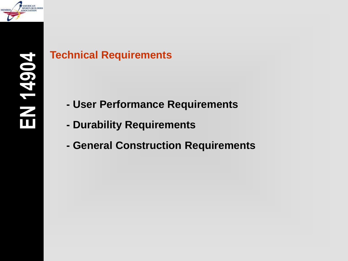

### **Technical Requirements**

- **- User Performance Requirements**
- **- Durability Requirements**
- **- General Construction Requirements**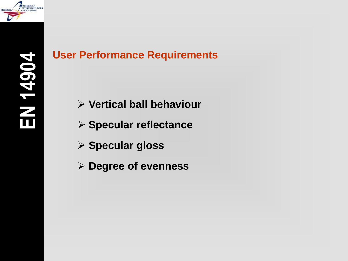

- **Vertical ball behaviour**
- **Specular reflectance**
- **Specular gloss**
- **Degree of evenness**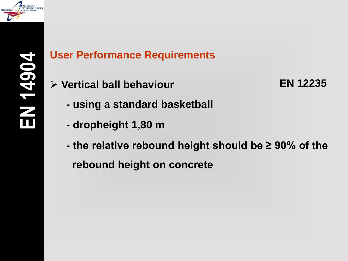

**Vertical ball behaviour EN 12235**

- **- using a standard basketball**
- **- dropheight 1,80 m**
- **- the relative rebound height should be ≥ 90% of the rebound height on concrete**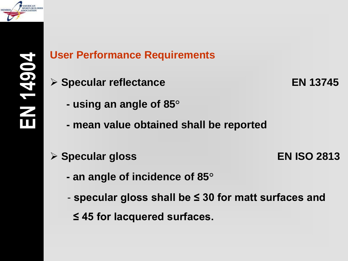

**Specular reflectance EN 13745**

- **- using an angle of 85°**
- **- mean value obtained shall be reported**
- 
- **Specular gloss EN ISO 2813**
	- **- an angle of incidence of 85°**
	- **specular gloss shall be ≤ 30 for matt surfaces and**
		- **≤ 45 for lacquered surfaces.**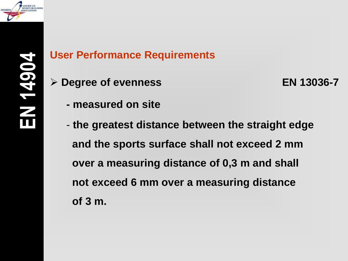

**Degree of evenness EN 13036-7**

- **- measured on site**
- **the greatest distance between the straight edge and the sports surface shall not exceed 2 mm over a measuring distance of 0,3 m and shall not exceed 6 mm over a measuring distance of 3 m.**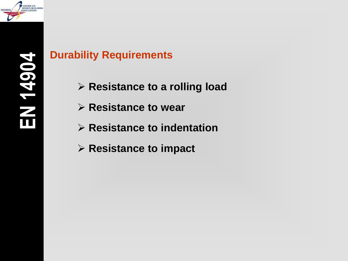

- **Resistance to a rolling load**
- **Resistance to wear**
- **Resistance to indentation**
- **Resistance to impact**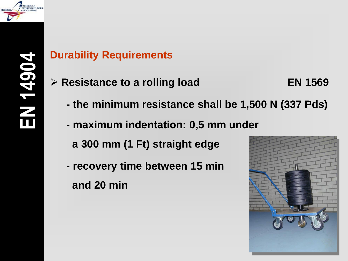

- **Resistance to a rolling load EN 1569**
- - **- the minimum resistance shall be 1,500 N (337 Pds)**
	- **maximum indentation: 0,5 mm under a 300 mm (1 Ft) straight edge**
	- **recovery time between 15 min and 20 min**

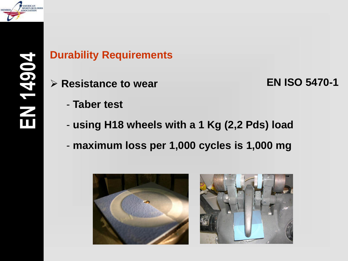

**Resistance to wear EN ISO 5470-1**

- **Taber test**
- **using H18 wheels with a 1 Kg (2,2 Pds) load**
- **maximum loss per 1,000 cycles is 1,000 mg**

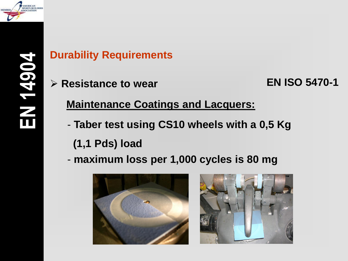

**Resistance to wear EN ISO 5470-1**

**Maintenance Coatings and Lacquers:**

- **Taber test using CS10 wheels with a 0,5 Kg** 
	- **(1,1 Pds) load**
- **maximum loss per 1,000 cycles is 80 mg**



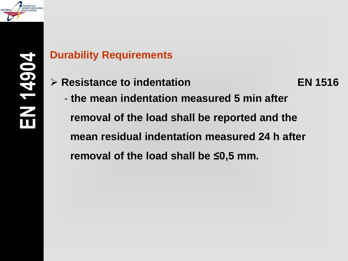

**Resistance to indentation EN 1516**

- **the mean indentation measured 5 min after removal of the load shall be reported and the mean residual indentation measured 24 h after removal of the load shall be ≤0,5 mm.**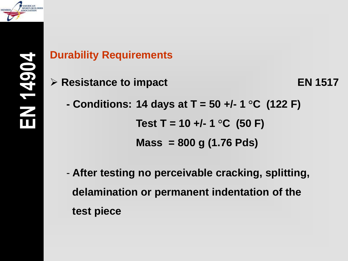

**EN 1517 EN 1517** 

- **- Conditions: 14 days at T = 50 +/- 1 °C (122 F)**  $Test T = 10 + (-1)$  °C (50 F) **Mass = 800 g (1.76 Pds)**
- **After testing no perceivable cracking, splitting, delamination or permanent indentation of the test piece**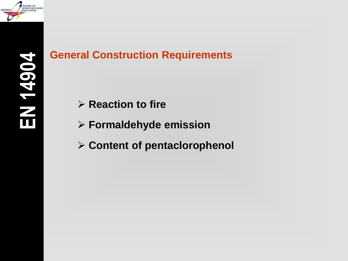

- **EXECUTE: Reaction to fire**
- **Formaldehyde emission**
- **Content of pentaclorophenol**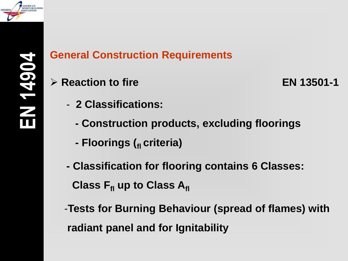

**Reaction to fire EN 13501-1**

- **2 Classifications:**
	- **- Construction products, excluding floorings**
	- **- Floorings (fl criteria)**
- **- Classification for flooring contains 6 Classes: Class Ffl up to Class Afl**
- -**Tests for Burning Behaviour (spread of flames) with radiant panel and for Ignitability**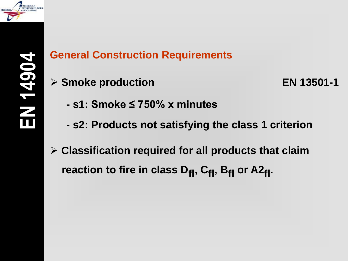

**Smoke production EN 13501-1**

- **- s1: Smoke ≤ 750% x minutes**
- **s2: Products not satisfying the class 1 criterion**
- **Classification required for all products that claim** reaction to fire in class D<sub>fl</sub>, C<sub>fl</sub>, B<sub>fl</sub> or A2<sub>fl</sub>.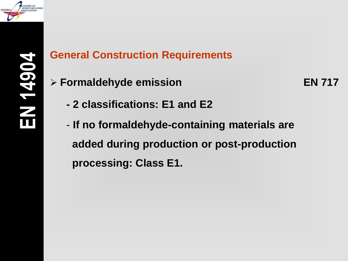

**Formaldehyde emission EN 717**

- **- 2 classifications: E1 and E2**
- **If no formaldehyde-containing materials are added during production or post-production processing: Class E1.**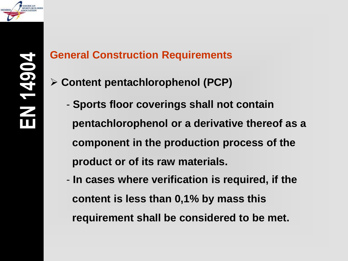

- **Content pentachlorophenol (PCP)**
	- **Sports floor coverings shall not contain pentachlorophenol or a derivative thereof as a component in the production process of the product or of its raw materials.**
	- **In cases where verification is required, if the content is less than 0,1% by mass this requirement shall be considered to be met.**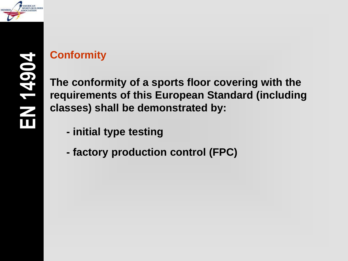

EN 1490

# **Conformity**

**The conformity of a sports floor covering with the requirements of this European Standard (including classes) shall be demonstrated by:**

- **- initial type testing**
- **- factory production control (FPC)**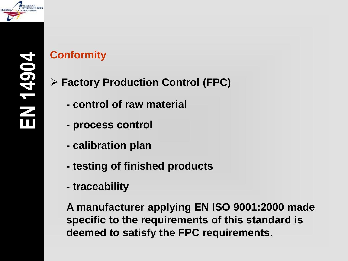

# **Conformity**

- **Factory Production Control (FPC)**
	- **- control of raw material**
	- **- process control**
	- **- calibration plan**
	- **- testing of finished products**
	- **- traceability**

**A manufacturer applying EN ISO 9001:2000 made specific to the requirements of this standard is deemed to satisfy the FPC requirements.**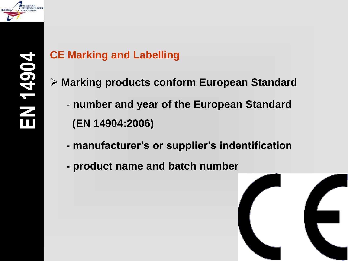

# **CE Marking and Labelling**

- **Marking products conform European Standard**
	- **number and year of the European Standard (EN 14904:2006)**
	- **- manufacturer's or supplier's indentification**
	- **- product name and batch number**

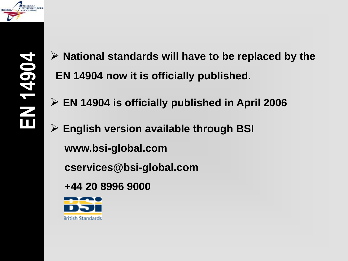

- **National standards will have to be replaced by the EN 14904 now it is officially published.**
- **EN 14904 is officially published in April 2006**
- **English version available through BSI www.bsi-global.com**
	- **cservices@bsi-global.com**
	- **+44 20 8996 9000**

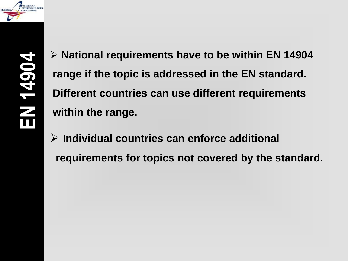

 **National requirements have to be within EN 14904 range if the topic is addressed in the EN standard. Different countries can use different requirements within the range.**

 **Individual countries can enforce additional requirements for topics not covered by the standard.**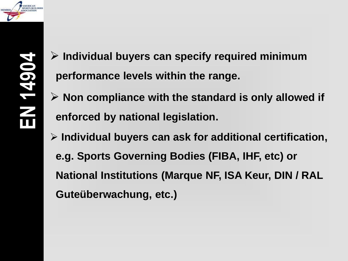

- **Individual buyers can specify required minimum performance levels within the range.**
- **Non compliance with the standard is only allowed if enforced by national legislation.**
- **Individual buyers can ask for additional certification, e.g. Sports Governing Bodies (FIBA, IHF, etc) or National Institutions (Marque NF, ISA Keur, DIN / RAL Guteüberwachung, etc.)**